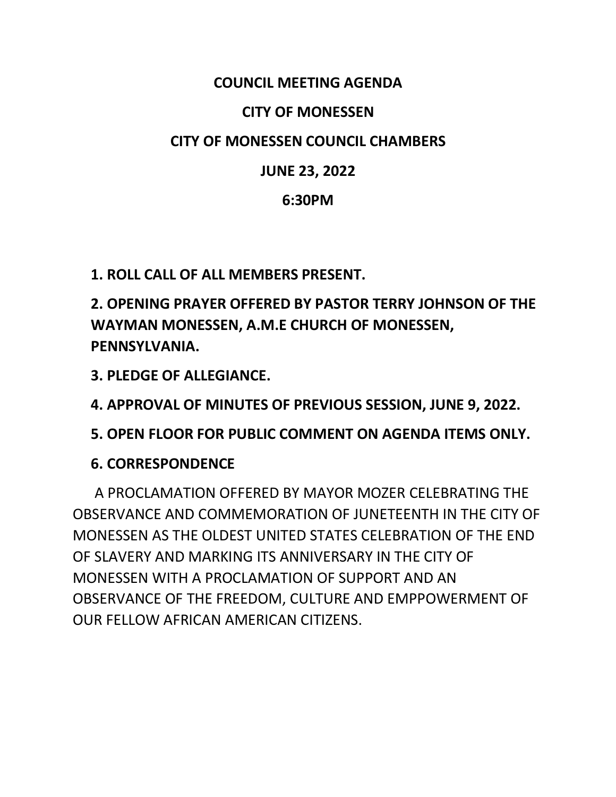#### **COUNCIL MEETING AGENDA**

#### **CITY OF MONESSEN**

#### **CITY OF MONESSEN COUNCIL CHAMBERS**

### **JUNE 23, 2022**

#### **6:30PM**

**1. ROLL CALL OF ALL MEMBERS PRESENT.**

**2. OPENING PRAYER OFFERED BY PASTOR TERRY JOHNSON OF THE WAYMAN MONESSEN, A.M.E CHURCH OF MONESSEN, PENNSYLVANIA.** 

**3. PLEDGE OF ALLEGIANCE.**

**4. APPROVAL OF MINUTES OF PREVIOUS SESSION, JUNE 9, 2022.**

**5. OPEN FLOOR FOR PUBLIC COMMENT ON AGENDA ITEMS ONLY.**

### **6. CORRESPONDENCE**

 A PROCLAMATION OFFERED BY MAYOR MOZER CELEBRATING THE OBSERVANCE AND COMMEMORATION OF JUNETEENTH IN THE CITY OF MONESSEN AS THE OLDEST UNITED STATES CELEBRATION OF THE END OF SLAVERY AND MARKING ITS ANNIVERSARY IN THE CITY OF MONESSEN WITH A PROCLAMATION OF SUPPORT AND AN OBSERVANCE OF THE FREEDOM, CULTURE AND EMPPOWERMENT OF OUR FELLOW AFRICAN AMERICAN CITIZENS.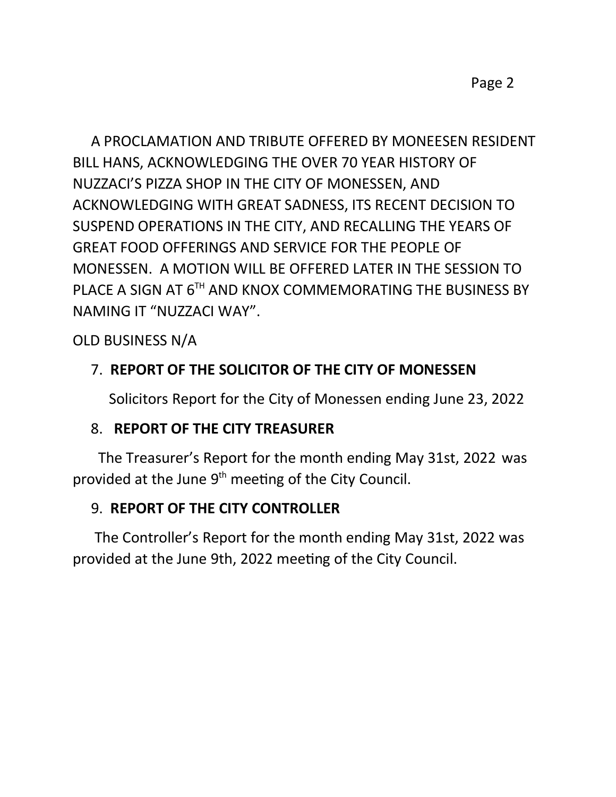Page 2

 A PROCLAMATION AND TRIBUTE OFFERED BY MONEESEN RESIDENT BILL HANS, ACKNOWLEDGING THE OVER 70 YEAR HISTORY OF NUZZACI'S PIZZA SHOP IN THE CITY OF MONESSEN, AND ACKNOWLEDGING WITH GREAT SADNESS, ITS RECENT DECISION TO SUSPEND OPERATIONS IN THE CITY, AND RECALLING THE YEARS OF GREAT FOOD OFFERINGS AND SERVICE FOR THE PEOPLE OF MONESSEN. A MOTION WILL BE OFFERED LATER IN THE SESSION TO PLACE A SIGN AT 6<sup>TH</sup> AND KNOX COMMEMORATING THE BUSINESS BY NAMING IT "NUZZACI WAY".

OLD BUSINESS N/A

## 7. **REPORT OF THE SOLICITOR OF THE CITY OF MONESSEN**

Solicitors Report for the City of Monessen ending June 23, 2022

### 8. **REPORT OF THE CITY TREASURER**

 The Treasurer's Report for the month ending May 31st, 2022 was provided at the June 9<sup>th</sup> meeting of the City Council.

### 9. **REPORT OF THE CITY CONTROLLER**

 The Controller's Report for the month ending May 31st, 2022 was provided at the June 9th, 2022 meeting of the City Council.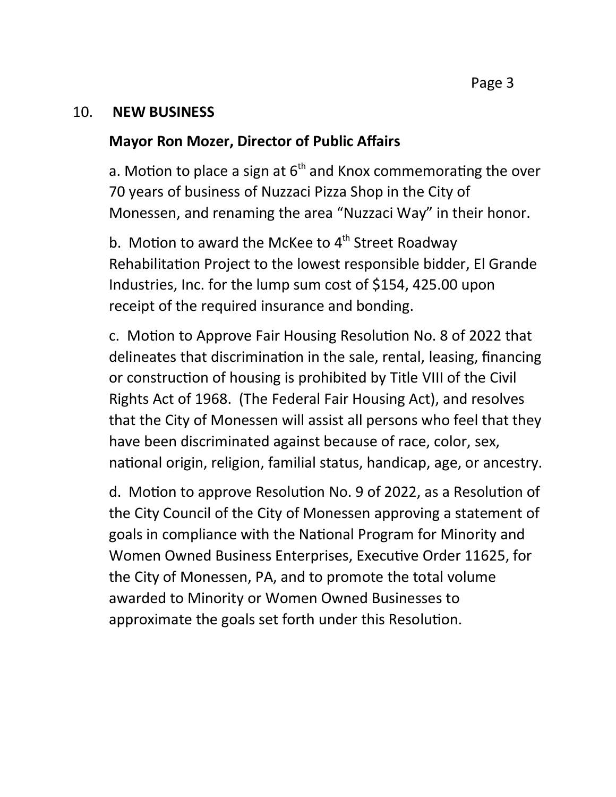#### 10. **NEW BUSINESS**

#### **Mayor Ron Mozer, Director of Public Affairs**

a. Motion to place a sign at  $6<sup>th</sup>$  and Knox commemorating the over 70 years of business of Nuzzaci Pizza Shop in the City of Monessen, and renaming the area "Nuzzaci Way" in their honor.

b. Motion to award the McKee to  $4<sup>th</sup>$  Street Roadway Rehabilitation Project to the lowest responsible bidder, El Grande Industries, Inc. for the lump sum cost of \$154, 425.00 upon receipt of the required insurance and bonding.

c. Motion to Approve Fair Housing Resolution No. 8 of 2022 that delineates that discrimination in the sale, rental, leasing, financing or construction of housing is prohibited by Title VIII of the Civil Rights Act of 1968. (The Federal Fair Housing Act), and resolves that the City of Monessen will assist all persons who feel that they have been discriminated against because of race, color, sex, national origin, religion, familial status, handicap, age, or ancestry.

d. Motion to approve Resolution No. 9 of 2022, as a Resolution of the City Council of the City of Monessen approving a statement of goals in compliance with the National Program for Minority and Women Owned Business Enterprises, Executive Order 11625, for the City of Monessen, PA, and to promote the total volume awarded to Minority or Women Owned Businesses to approximate the goals set forth under this Resolution.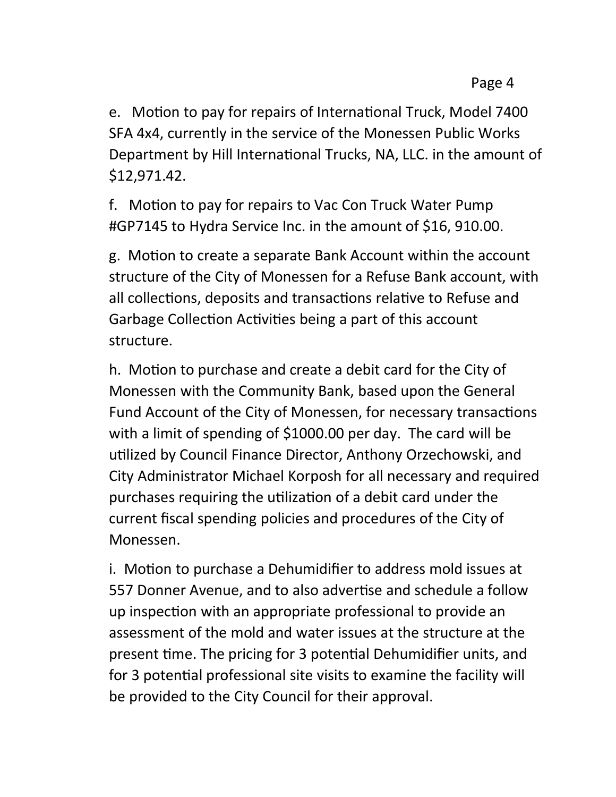e. Motion to pay for repairs of International Truck, Model 7400 SFA 4x4, currently in the service of the Monessen Public Works Department by Hill International Trucks, NA, LLC. in the amount of \$12,971.42.

f. Motion to pay for repairs to Vac Con Truck Water Pump #GP7145 to Hydra Service Inc. in the amount of \$16, 910.00.

g. Motion to create a separate Bank Account within the account structure of the City of Monessen for a Refuse Bank account, with all collections, deposits and transactions relative to Refuse and Garbage Collection Activities being a part of this account structure.

h. Motion to purchase and create a debit card for the City of Monessen with the Community Bank, based upon the General Fund Account of the City of Monessen, for necessary transactions with a limit of spending of \$1000.00 per day. The card will be utilized by Council Finance Director, Anthony Orzechowski, and City Administrator Michael Korposh for all necessary and required purchases requiring the utilization of a debit card under the current fiscal spending policies and procedures of the City of Monessen.

i. Motion to purchase a Dehumidifier to address mold issues at 557 Donner Avenue, and to also advertise and schedule a follow up inspection with an appropriate professional to provide an assessment of the mold and water issues at the structure at the present time. The pricing for 3 potential Dehumidifier units, and for 3 potential professional site visits to examine the facility will be provided to the City Council for their approval.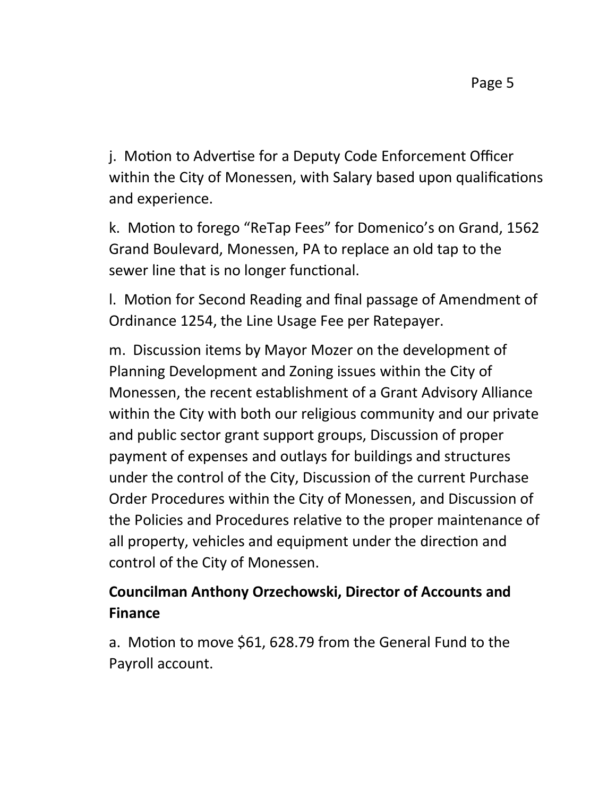j. Motion to Advertise for a Deputy Code Enforcement Officer within the City of Monessen, with Salary based upon qualifications and experience.

k. Motion to forego "ReTap Fees" for Domenico's on Grand, 1562 Grand Boulevard, Monessen, PA to replace an old tap to the sewer line that is no longer functional.

l. Motion for Second Reading and final passage of Amendment of Ordinance 1254, the Line Usage Fee per Ratepayer.

m. Discussion items by Mayor Mozer on the development of Planning Development and Zoning issues within the City of Monessen, the recent establishment of a Grant Advisory Alliance within the City with both our religious community and our private and public sector grant support groups, Discussion of proper payment of expenses and outlays for buildings and structures under the control of the City, Discussion of the current Purchase Order Procedures within the City of Monessen, and Discussion of the Policies and Procedures relative to the proper maintenance of all property, vehicles and equipment under the direction and control of the City of Monessen.

# **Councilman Anthony Orzechowski, Director of Accounts and Finance**

a. Motion to move \$61, 628.79 from the General Fund to the Payroll account.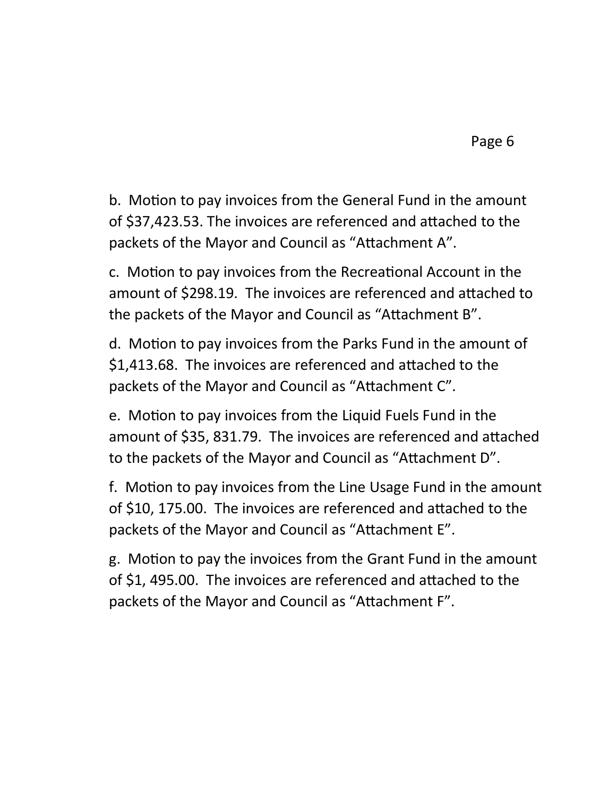b. Motion to pay invoices from the General Fund in the amount of \$37,423.53. The invoices are referenced and attached to the packets of the Mayor and Council as "Attachment A".

c. Motion to pay invoices from the Recreational Account in the amount of \$298.19. The invoices are referenced and attached to the packets of the Mayor and Council as "Attachment B".

d. Motion to pay invoices from the Parks Fund in the amount of \$1,413.68. The invoices are referenced and attached to the packets of the Mayor and Council as "Attachment C".

e. Motion to pay invoices from the Liquid Fuels Fund in the amount of \$35, 831.79. The invoices are referenced and attached to the packets of the Mayor and Council as "Attachment D".

f. Motion to pay invoices from the Line Usage Fund in the amount of \$10, 175.00. The invoices are referenced and attached to the packets of the Mayor and Council as "Attachment E".

g. Motion to pay the invoices from the Grant Fund in the amount of \$1, 495.00. The invoices are referenced and attached to the packets of the Mayor and Council as "Attachment F".